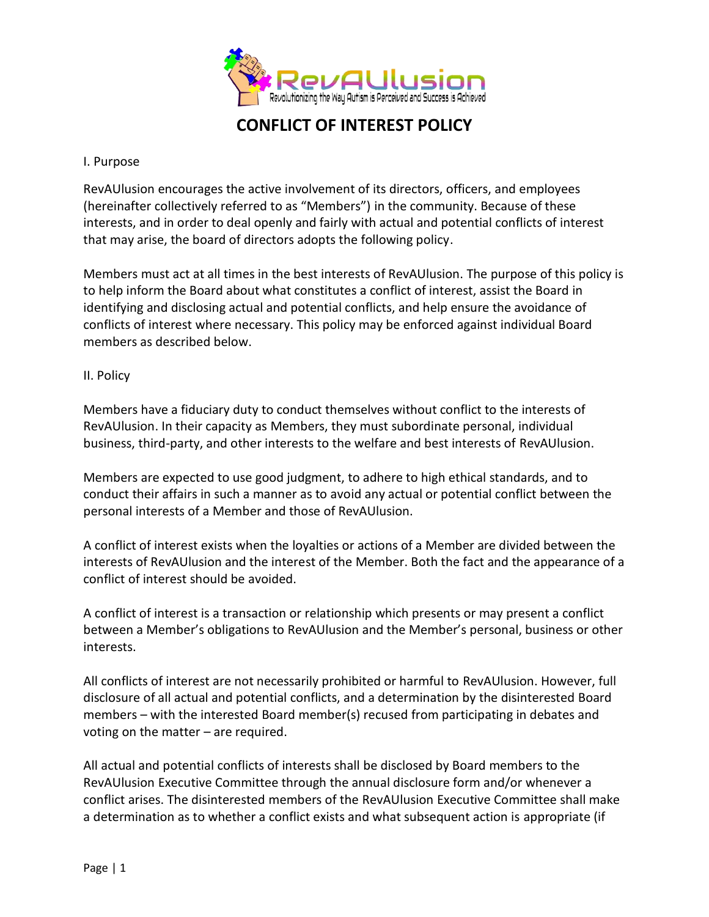

#### I. Purpose

RevAUlusion encourages the active involvement of its directors, officers, and employees (hereinafter collectively referred to as "Members") in the community. Because of these interests, and in order to deal openly and fairly with actual and potential conflicts of interest that may arise, the board of directors adopts the following policy.

Members must act at all times in the best interests of RevAUlusion. The purpose of this policy is to help inform the Board about what constitutes a conflict of interest, assist the Board in identifying and disclosing actual and potential conflicts, and help ensure the avoidance of conflicts of interest where necessary. This policy may be enforced against individual Board members as described below.

#### II. Policy

Members have a fiduciary duty to conduct themselves without conflict to the interests of RevAUlusion. In their capacity as Members, they must subordinate personal, individual business, third-party, and other interests to the welfare and best interests of RevAUlusion.

Members are expected to use good judgment, to adhere to high ethical standards, and to conduct their affairs in such a manner as to avoid any actual or potential conflict between the personal interests of a Member and those of RevAUlusion.

A conflict of interest exists when the loyalties or actions of a Member are divided between the interests of RevAUlusion and the interest of the Member. Both the fact and the appearance of a conflict of interest should be avoided.

A conflict of interest is a transaction or relationship which presents or may present a conflict between a Member's obligations to RevAUlusion and the Member's personal, business or other interests.

All conflicts of interest are not necessarily prohibited or harmful to RevAUlusion. However, full disclosure of all actual and potential conflicts, and a determination by the disinterested Board members – with the interested Board member(s) recused from participating in debates and voting on the matter – are required.

All actual and potential conflicts of interests shall be disclosed by Board members to the RevAUlusion Executive Committee through the annual disclosure form and/or whenever a conflict arises. The disinterested members of the RevAUlusion Executive Committee shall make a determination as to whether a conflict exists and what subsequent action is appropriate (if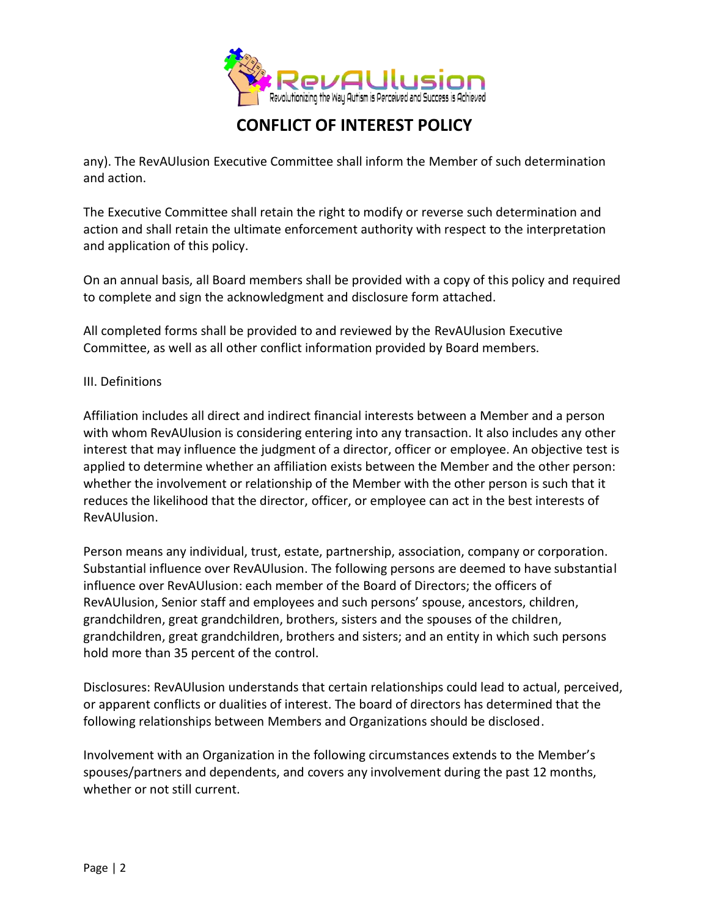

any). The RevAUlusion Executive Committee shall inform the Member of such determination and action.

The Executive Committee shall retain the right to modify or reverse such determination and action and shall retain the ultimate enforcement authority with respect to the interpretation and application of this policy.

On an annual basis, all Board members shall be provided with a copy of this policy and required to complete and sign the acknowledgment and disclosure form attached.

All completed forms shall be provided to and reviewed by the RevAUlusion Executive Committee, as well as all other conflict information provided by Board members.

### III. Definitions

Affiliation includes all direct and indirect financial interests between a Member and a person with whom RevAUlusion is considering entering into any transaction. It also includes any other interest that may influence the judgment of a director, officer or employee. An objective test is applied to determine whether an affiliation exists between the Member and the other person: whether the involvement or relationship of the Member with the other person is such that it reduces the likelihood that the director, officer, or employee can act in the best interests of RevAUlusion.

Person means any individual, trust, estate, partnership, association, company or corporation. Substantial influence over RevAUlusion. The following persons are deemed to have substantial influence over RevAUlusion: each member of the Board of Directors; the officers of RevAUlusion, Senior staff and employees and such persons' spouse, ancestors, children, grandchildren, great grandchildren, brothers, sisters and the spouses of the children, grandchildren, great grandchildren, brothers and sisters; and an entity in which such persons hold more than 35 percent of the control.

Disclosures: RevAUlusion understands that certain relationships could lead to actual, perceived, or apparent conflicts or dualities of interest. The board of directors has determined that the following relationships between Members and Organizations should be disclosed.

Involvement with an Organization in the following circumstances extends to the Member's spouses/partners and dependents, and covers any involvement during the past 12 months, whether or not still current.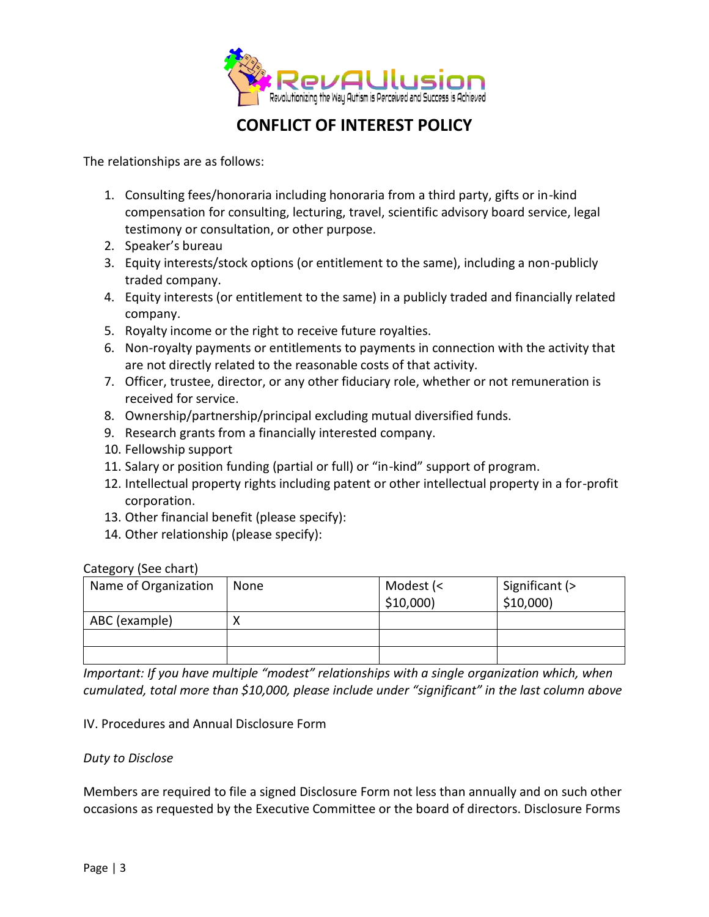

The relationships are as follows:

- 1. Consulting fees/honoraria including honoraria from a third party, gifts or in-kind compensation for consulting, lecturing, travel, scientific advisory board service, legal testimony or consultation, or other purpose.
- 2. Speaker's bureau
- 3. Equity interests/stock options (or entitlement to the same), including a non-publicly traded company.
- 4. Equity interests (or entitlement to the same) in a publicly traded and financially related company.
- 5. Royalty income or the right to receive future royalties.
- 6. Non-royalty payments or entitlements to payments in connection with the activity that are not directly related to the reasonable costs of that activity.
- 7. Officer, trustee, director, or any other fiduciary role, whether or not remuneration is received for service.
- 8. Ownership/partnership/principal excluding mutual diversified funds.
- 9. Research grants from a financially interested company.
- 10. Fellowship support
- 11. Salary or position funding (partial or full) or "in-kind" support of program.
- 12. Intellectual property rights including patent or other intellectual property in a for-profit corporation.
- 13. Other financial benefit (please specify):
- 14. Other relationship (please specify):

#### Category (See chart)

| Name of Organization | None | Modest (<<br>$$10,000$ ) | Significant (><br>$$10,000$ ) |
|----------------------|------|--------------------------|-------------------------------|
| ABC (example)        |      |                          |                               |
|                      |      |                          |                               |
|                      |      |                          |                               |

*Important: If you have multiple "modest" relationships with a single organization which, when cumulated, total more than \$10,000, please include under "significant" in the last column above*

#### IV. Procedures and Annual Disclosure Form

#### *Duty to Disclose*

Members are required to file a signed Disclosure Form not less than annually and on such other occasions as requested by the Executive Committee or the board of directors. Disclosure Forms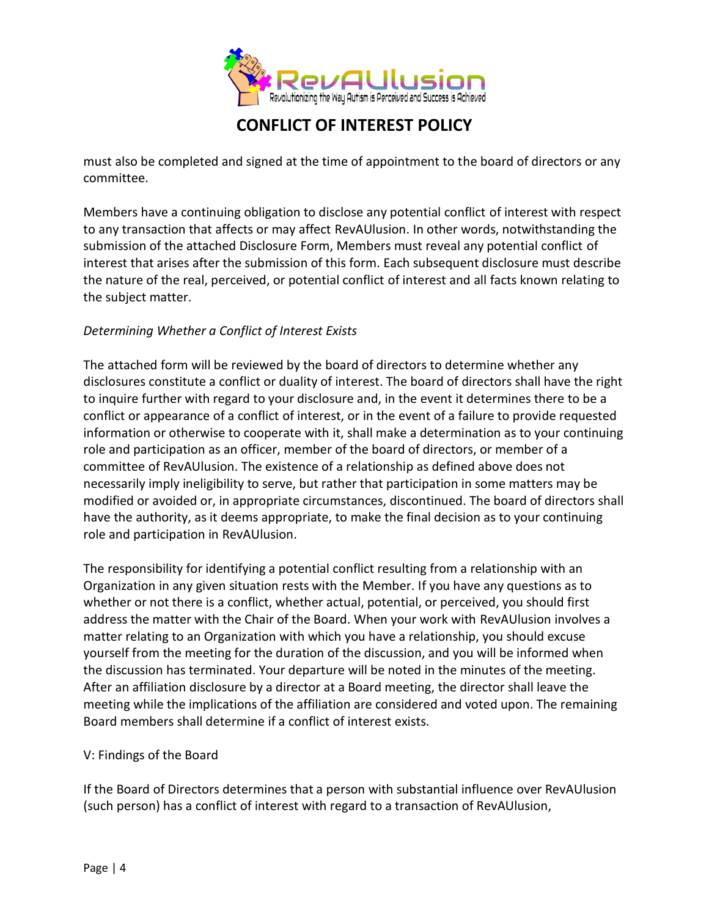

must also be completed and signed at the time of appointment to the board of directors or any committee.

Members have a continuing obligation to disclose any potential conflict of interest with respect to any transaction that affects or may affect RevAUlusion. In other words, notwithstanding the submission of the attached Disclosure Form, Members must reveal any potential conflict of interest that arises after the submission of this form. Each subsequent disclosure must describe the nature of the real, perceived, or potential conflict of interest and all facts known relating to the subject matter.

### *Determining Whether a Conflict of Interest Exists*

The attached form will be reviewed by the board of directors to determine whether any disclosures constitute a conflict or duality of interest. The board of directors shall have the right to inquire further with regard to your disclosure and, in the event it determines there to be a conflict or appearance of a conflict of interest, or in the event of a failure to provide requested information or otherwise to cooperate with it, shall make a determination as to your continuing role and participation as an officer, member of the board of directors, or member of a committee of RevAUlusion. The existence of a relationship as defined above does not necessarily imply ineligibility to serve, but rather that participation in some matters may be modified or avoided or, in appropriate circumstances, discontinued. The board of directors shall have the authority, as it deems appropriate, to make the final decision as to your continuing role and participation in RevAUlusion.

The responsibility for identifying a potential conflict resulting from a relationship with an Organization in any given situation rests with the Member. If you have any questions as to whether or not there is a conflict, whether actual, potential, or perceived, you should first address the matter with the Chair of the Board. When your work with RevAUlusion involves a matter relating to an Organization with which you have a relationship, you should excuse yourself from the meeting for the duration of the discussion, and you will be informed when the discussion has terminated. Your departure will be noted in the minutes of the meeting. After an affiliation disclosure by a director at a Board meeting, the director shall leave the meeting while the implications of the affiliation are considered and voted upon. The remaining Board members shall determine if a conflict of interest exists.

#### V: Findings of the Board

If the Board of Directors determines that a person with substantial influence over RevAUlusion (such person) has a conflict of interest with regard to a transaction of RevAUlusion,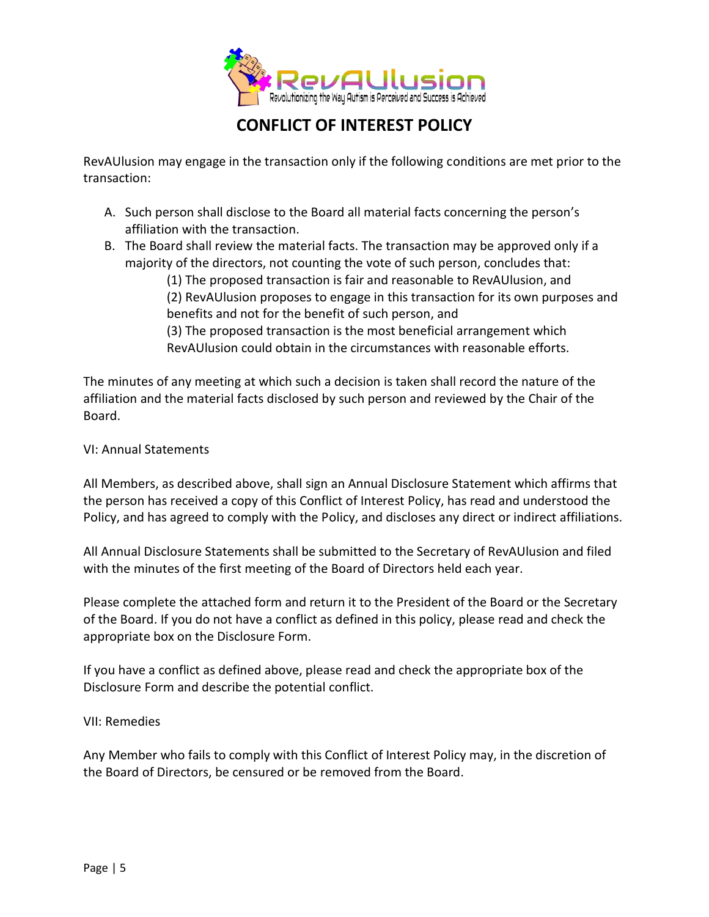

RevAUlusion may engage in the transaction only if the following conditions are met prior to the transaction:

- A. Such person shall disclose to the Board all material facts concerning the person's affiliation with the transaction.
- B. The Board shall review the material facts. The transaction may be approved only if a majority of the directors, not counting the vote of such person, concludes that:

(1) The proposed transaction is fair and reasonable to RevAUlusion, and (2) RevAUlusion proposes to engage in this transaction for its own purposes and benefits and not for the benefit of such person, and

(3) The proposed transaction is the most beneficial arrangement which RevAUlusion could obtain in the circumstances with reasonable efforts.

The minutes of any meeting at which such a decision is taken shall record the nature of the affiliation and the material facts disclosed by such person and reviewed by the Chair of the Board.

### VI: Annual Statements

All Members, as described above, shall sign an Annual Disclosure Statement which affirms that the person has received a copy of this Conflict of Interest Policy, has read and understood the Policy, and has agreed to comply with the Policy, and discloses any direct or indirect affiliations.

All Annual Disclosure Statements shall be submitted to the Secretary of RevAUlusion and filed with the minutes of the first meeting of the Board of Directors held each year.

Please complete the attached form and return it to the President of the Board or the Secretary of the Board. If you do not have a conflict as defined in this policy, please read and check the appropriate box on the Disclosure Form.

If you have a conflict as defined above, please read and check the appropriate box of the Disclosure Form and describe the potential conflict.

#### VII: Remedies

Any Member who fails to comply with this Conflict of Interest Policy may, in the discretion of the Board of Directors, be censured or be removed from the Board.